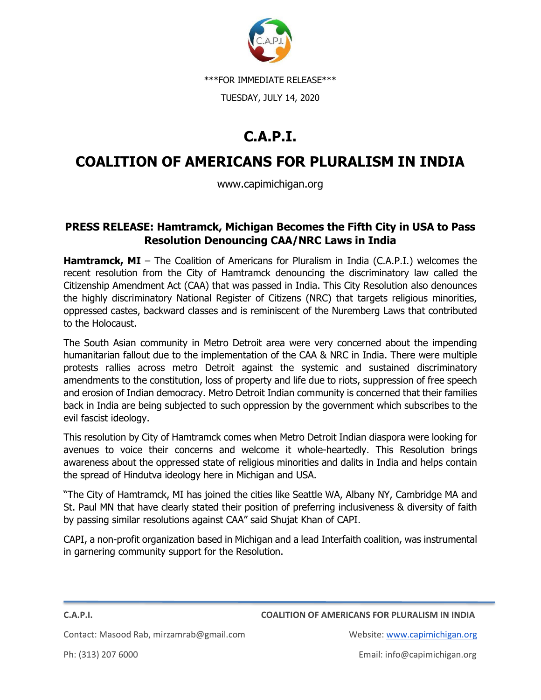

\*\*\*FOR IMMEDIATE RELEASE\*\*\*

TUESDAY, JULY 14, 2020

## **C.A.P.I.**

## **COALITION OF AMERICANS FOR PLURALISM IN INDIA**

www.capimichigan.org

## **PRESS RELEASE: Hamtramck, Michigan Becomes the Fifth City in USA to Pass Resolution Denouncing CAA/NRC Laws in India**

**Hamtramck, MI** – The Coalition of Americans for Pluralism in India (C.A.P.I.) welcomes the recent resolution from the City of Hamtramck denouncing the discriminatory law called the Citizenship Amendment Act (CAA) that was passed in India. This City Resolution also denounces the highly discriminatory National Register of Citizens (NRC) that targets religious minorities, oppressed castes, backward classes and is reminiscent of the Nuremberg Laws that contributed to the Holocaust.

The South Asian community in Metro Detroit area were very concerned about the impending humanitarian fallout due to the implementation of the CAA & NRC in India. There were multiple protests rallies across metro Detroit against the systemic and sustained discriminatory amendments to the constitution, loss of property and life due to riots, suppression of free speech and erosion of Indian democracy. Metro Detroit Indian community is concerned that their families back in India are being subjected to such oppression by the government which subscribes to the evil fascist ideology.

This resolution by City of Hamtramck comes when Metro Detroit Indian diaspora were looking for avenues to voice their concerns and welcome it whole-heartedly. This Resolution brings awareness about the oppressed state of religious minorities and dalits in India and helps contain the spread of Hindutva ideology here in Michigan and USA.

"The City of Hamtramck, MI has joined the cities like Seattle WA, Albany NY, Cambridge MA and St. Paul MN that have clearly stated their position of preferring inclusiveness & diversity of faith by passing similar resolutions against CAA" said Shujat Khan of CAPI.

CAPI, a non-profit organization based in Michigan and a lead Interfaith coalition, was instrumental in garnering community support for the Resolution.

**C.A.P.I. COALITION OF AMERICANS FOR PLURALISM IN INDIA**

Contact: Masood Rab, mirzamrab@gmail.com Website: [www.capimichigan.org](http://www.capimichigan.org/)

Ph: (313) 207 6000 Email: info@capimichigan.org